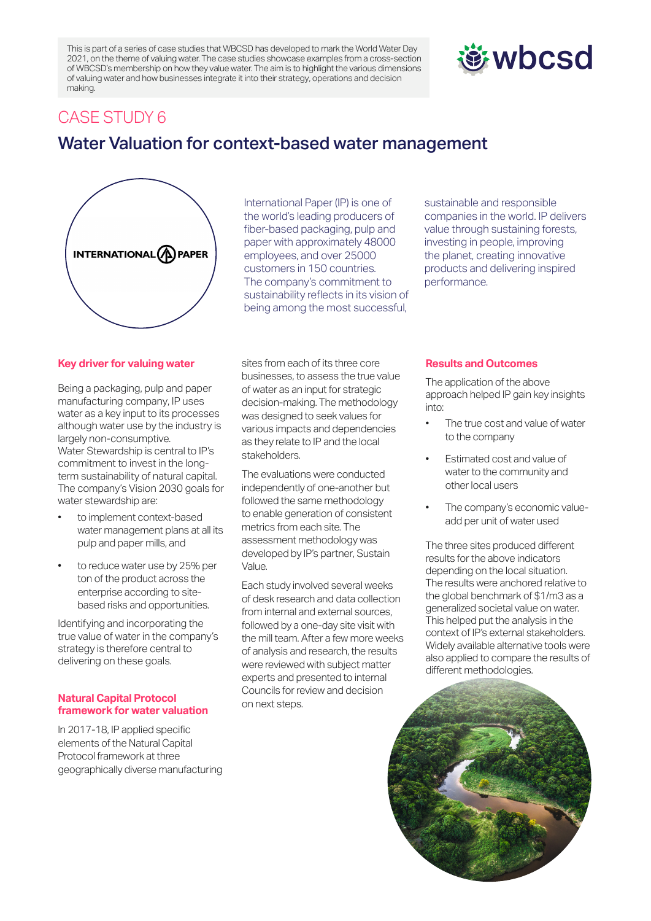This is part of a series of case studies that WBCSD has developed to mark the World Water Day 2021, on the theme of valuing water. The case studies showcase examples from a cross-section of WBCSD's membership on how they value water. The aim is to highlight the various dimensions of valuing water and how businesses integrate it into their strategy, operations and decision making.

# **遊wbcsd**

### CASE STUDY 6

## Water Valuation for context-based water management



International Paper (IP) is one of the world's leading producers of fiber-based packaging, pulp and paper with approximately 48000 employees, and over 25000 customers in 150 countries. The company's commitment to sustainability reflects in its vision of being among the most successful,

sustainable and responsible companies in the world. IP delivers value through sustaining forests, investing in people, improving the planet, creating innovative products and delivering inspired performance.

#### **Key driver for valuing water**

Being a packaging, pulp and paper manufacturing company, IP uses water as a key input to its processes although water use by the industry is largely non-consumptive. Water Stewardship is central to IP's commitment to invest in the longterm sustainability of natural capital. The company's Vision 2030 goals for water stewardship are:

- to implement context-based water management plans at all its pulp and paper mills, and
- to reduce water use by 25% per ton of the product across the enterprise according to sitebased risks and opportunities.

Identifying and incorporating the true value of water in the company's strategy is therefore central to delivering on these goals.

#### **Natural Capital Protocol framework for water valuation**

In 2017-18, IP applied specific elements of the Natural Capital Protocol framework at three geographically diverse manufacturing sites from each of its three core businesses, to assess the true value of water as an input for strategic decision-making. The methodology was designed to seek values for various impacts and dependencies as they relate to IP and the local stakeholders.

The evaluations were conducted independently of one-another but followed the same methodology to enable generation of consistent metrics from each site. The assessment methodology was developed by IP's partner, Sustain Value.

Each study involved several weeks of desk research and data collection from internal and external sources, followed by a one-day site visit with the mill team. After a few more weeks of analysis and research, the results were reviewed with subject matter experts and presented to internal Councils for review and decision on next steps.

#### **Results and Outcomes**

The application of the above approach helped IP gain key insights into:

- The true cost and value of water to the company
- Estimated cost and value of water to the community and other local users
- The company's economic valueadd per unit of water used

The three sites produced different results for the above indicators depending on the local situation. The results were anchored relative to the global benchmark of \$1/m3 as a generalized societal value on water. This helped put the analysis in the context of IP's external stakeholders. Widely available alternative tools were also applied to compare the results of different methodologies.